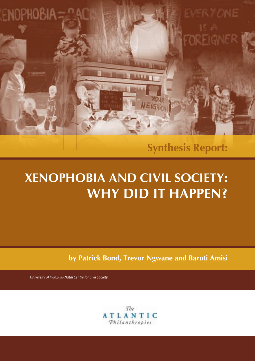**Synthesis Report:**

ER Y ONE

# **Xenophobia and civil Society:** WHY DID IT HAPPEN?

**TAVA** 

NEIGH

**by patrick bond, trevor ngwane and baruti amisi**

*University of KwaZulu-Natal Centre for Civil Society*

ENOPHOBIA

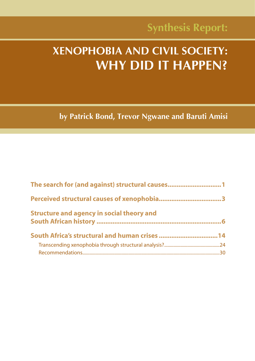## **Xenophobia and civil Society: WHY DID IT HAPPEN?**

**by patrick bond, trevor ngwane and baruti amisi**

| The search for (and against) structural causes1  |  |
|--------------------------------------------------|--|
|                                                  |  |
| <b>Structure and agency in social theory and</b> |  |
|                                                  |  |
|                                                  |  |
|                                                  |  |
|                                                  |  |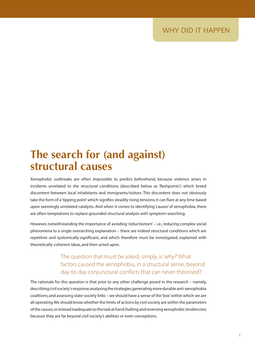## **the search for (and against) structural causes**

Xenophobic outbreaks are often impossible to predict beforehand, because violence arises in incidents unrelated to the structural conditions (described below as 'flashpoints') which breed discontent between local inhabitants and immigrants/visitors. This discontent does not obviously take the form of a 'tipping point' which signifies steadily rising tensions; it can flare at any time based upon seemingly unrelated catalysts. And when it comes to identifying 'causes' of xenophobia, there are often temptations to replace grounded structural analysis with symptom-searching.

However, notwithstanding the importance of avoiding 'reductionism' – i.e., reducing complex social phenomena to a single overarching explanation – there are indeed structural conditions which are repetitive and systemically-significant, and which therefore must be investigated, explained with theoretically-coherent ideas, and then acted upon.

### The question that must be asked, simply, is 'why?' What factors caused the xenophobia, in a structural sense, beyond day-to-day conjunctural conflicts that can never theorised?

The rationale for this question is that prior to any other challenge posed in the research – namely, describing civil society's response; analysing the strategies; generating more durable anti-xenophobia coalitions; and assessing state-society links – we should have a sense of the 'box' within which we are all operating. We should know whether the limits of actions by civil society are within the parameters of the causes, or instead inadequate to the task at hand (halting and reversing xenophobic tendencies) because they are far beyond civil society's abilities or even conceptions.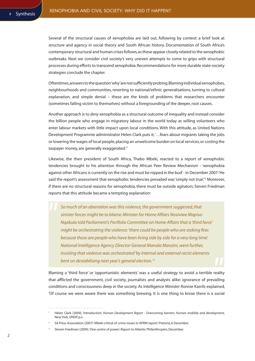Several of the structural causes of xenophobia are laid out, following by context: a brief look at structure and agency in social theory and South African history. Documentation of South Africa's contemporary structural and human crises follows, as these appear closely related to the xenophobic outbreaks. Next we consider civil society's very uneven attempts to come to grips with structural processes during efforts to transcend xenophobia. Recommendations for more durable state-society strategies conclude the chapter.

Oftentimes, answers to the question 'why' are not sufficiently probing. Blaming individual xenophobes, neighbourhoods and communities, reverting to national/ethnic generalisations, turning to cultural explanation, and simple denial – these are the kinds of problems that researchers encounter (sometimes falling victim to themselves) without a foregrounding of the deeper, root causes.

Another approach is to *deny* xenophobia as a structural outcome of inequality and instead consider the billion people who engage in migratory labour in the world today as willing volunteers who enter labour markets with little impact upon local conditions. With this attitude, as United Nations Development Programme administrator Helen Clark puts it, '…fears about migrants taking the jobs or lowering the wages of local people, placing an unwelcome burden on local services, or costing the taxpayer money, are generally exaggerated.'1

Likewise, the then president of South Africa, Thabo Mbeki, reacted to a report of xenophobic tendencies brought to his attention through the African Peer Review Mechanism - 'xenophobia against other Africans is currently on the rise and must be nipped in the bud'-in December 2007:'He said the report's assessment that xenophobic tendencies prevailed was 'simply not true!'<sup>2</sup> Moreover, if there are no structural reasons for xenophobia, there must be outside agitators; Steven Friedman reports that this attitude became a tempting explanation:

*So much of an aberration was this violence, the government suggested, that sinister forces might be to blame. Minister for Home Affairs Nosiviwe Mapisa-Nqakula told Parliament's Portfolio Committee on Home Affairs that a 'third force' might be orchestrating the violence: 'there could be people who are stoking fires because these are people who have been living side by side for a very long time'. National Intelligence Agency Director General Manala Manzini, went further, insisting that violence was orchestrated 'by internal and external racist elements bent on destabilising next year's general election.' 3*

Blaming a 'third force' or 'opportunistic elements' was a useful strategy to avoid a terrible reality that afflicted the government, civil society, journalists and analysts alike: ignorance of prevailing conditions and consciousness deep in the society. As Intelligence Minister Ronnie Kasrils explained, 'Of course we were aware there was something brewing. It is one thing to know there is a social

<sup>1</sup> Helen Clark (2009), 'Introduction', *Human Development Report - Overcoming barriers: Human mobility and development,*  New York, UNDP, p.v.

<sup>2</sup> SA Press Association (2007) 'Mbeki critical of crime issues in APRM report', Pretoria, 6 December.

<sup>3</sup> Steven Friedman (2009), 'One centre of power', Report to Atlantic Philanthropies, December.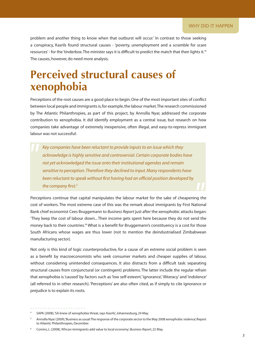problem and another thing to know when that outburst will occur.' In contrast to those seeking a conspiracy, Kasrils found structural causes - 'poverty, unemployment and a scramble for scare resources' - for the 'tinderbox. The minister says it is difficult to predict the match that then lights it.'4 The causes, however, do need more analysis.

## **perceived structural causes of xenophobia**

Perceptions of the root causes are a good place to begin. One of the most important sites of conflict between local people and immigrants is, for example, the labour market. The research commissioned by The Atlantic Philanthropies, as part of this project, by Annsilla Nyar, addressed the corporate contribution to xenophobia. It did identify employment as a central issue, but research on how companies take advantage of extremely inexpensive, often illegal, and easy-to-repress immigrant labour was not successful:

*Key companies have been reluctant to provide inputs to an issue which they acknowledge is highly sensitive and controversial. Certain corporate bodies have not yet acknowledged the issue onto their institutional agendas and remain sensitive to perception. Therefore they declined to input. Many respondents have been reluctant to speak without first having had an official position developed by the company first.5*

Perceptions continue that capital manipulates the labour market for the sake of cheapening the cost of workers. The most extreme case of this was the remark about immigrants by First National Bank chief economist Cees Bruggemann to *Business Report* just after the xenophobic attacks began*:*  'They keep the cost of labour down... Their income gets spent here because they do not send the money back to their countries.<sup>6</sup> What is a benefit for Bruggemann's constituency is a cost for those South Africans whose wages are thus lower (not to mention the deindustrialised Zimbabwean manufacturing sector).

Not only is this kind of logic counterproductive, for a cause of an extreme social problem is seen as a benefit by macroeconomists who seek consumer markets and cheaper supplies of labour, without considering unintended consequences. It also distracts from a difficult task: separating structural causes from conjunctural (or contingent) problems. The latter include the regular refrain that xenophobia is 'caused' by factors such as 'low self-esteem', 'ignorance', 'illiteracy' and 'indolence' (all referred to in other research). 'Perceptions' are also often cited, as if simply to cite ignorance or prejudice is to explain its roots.

<sup>4</sup> SAPA (2008), 'SA knew of xenophobia threat, says Kasrils', Johannesburg, 24 May.

<sup>5</sup> Annsilla Nyar (2009), 'Business as usual: The response of the corporate sector to the May 2008 xenophobic violence', Report to Atlantic Philanthropies, December.

<sup>6</sup> Comins, L. (2008), 'African immigrants add value to local economy', *Business Report,* 22 May.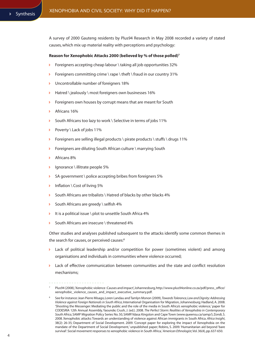A survey of 2000 Gauteng residents by Plus94 Research in May 2008 recorded a variety of stated causes, which mix up material reality with perceptions and psychology:

### **Reason for Xenophobic Attacks 2000 (believed by % of those polled)7**

- Ð Foreigners accepting cheap labour \ taking all job opportunities 32%
- Foreigners committing crime \ rape \ theft \ fraud in our country 31%
- Uncontrollable number of foreigners 18%
- Ð Hatred \ jealously \ most foreigners own businesses 16%
- Foreigners own houses by corrupt means that are meant for South
- Ð Africans 16%
- South Africans too lazy to work \ Selective in terms of jobs 11%
- Poverty \ Lack of jobs 11%
- Foreigners are selling illegal products \ pirate products \ stuffs \ drugs 11%
- Foreigners are diluting South African culture \ marrying South
- Ð Africans 8%
- Ð Ignorance \ illitrate people 5%
- $\triangleright$  SA government \ police accepting bribes from foreigners 5%
- $\triangleright$  Inflation \ Cost of living 5%
- Ð South Africans are tribalists \ Hatred of blacks by other blacks 4%
- $\triangleright$  South Africans are greedy \ selfish 4%
- $\triangleright$  It is a political issue \ plot to unsettle South Africa 4%
- South Africans are insecure \ threatened 4%

Other studies and analyses published subsequent to the attacks identify some common themes in the search for causes, or perceived causes:<sup>8</sup>

- Lack of political leadership and/or competition for power (sometimes violent) and among organisations and individuals in communities where violence occurred;
- Lack of effective communication between communities and the state and conflict resolution mechanisms;

Plus94 (2008), 'Xenophobic violence : Causes and impact', Johannesburg, http://www.plus94online.co.za/pdf/press\_office/ xenophobic\_violence\_causes\_and\_impact\_executive\_summary.pdf.

<sup>8</sup> See for instance: Jean Pierre Misago, Loren Landau and Tamlyn Monon (2009), *Towards Tolerance, Law and Dignity: Addressing Violence against Foreign Nationals in South Africa*, International Organisation for Migration, Johannesburg; Hadland, A. 2008. 'Shooting the Messenger: Mediating the public and the role of the media in South Africa's xenophobic violence,' paper for CODESRIA 12th Annual Assembly, Yaounde; Crush, J. (ed.). 2008. *The Perfect Storm: Realities of Xenophobia in Contemporary South Africa*, SAMP Migration Policy Series No. 50, SAMP/Idasa: Kingston and Cape Town (www.queensu.ca/samp/); Zondi, S. 2008. Xenophobic attacks: Towards an understanding of violence against African immigrants in South Africa. *Africa Insight*, 38(2): 26-35; Department of Social Development. 2009. 'Concept paper for exploring the impact of Xenophobia on the mandate of the Department of Social Development,' unpublished paper; Robins, S. 2009. 'Humanitarian aid beyond 'bare survival': Social movement responses to xenophobic violence in South Africa,' *American Ethnologist*, Vol. 36(4), pp. 637-650.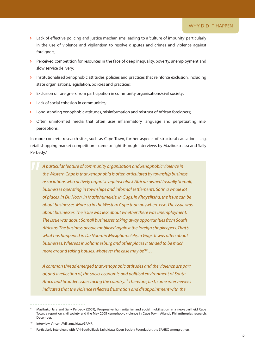- Lack of effective policing and justice mechanisms leading to a 'culture of impunity' particularly in the use of violence and vigilantism to resolve disputes and crimes and violence against foreigners;
- Perceived competition for resources in the face of deep inequality, poverty, unemployment and slow service delivery;
- $\triangleright$  Institutionalised xenophobic attitudes, policies and practices that reinforce exclusion, including state organisations, legislation, policies and practices;
- Exclusion of foreigners from participation in community organisations/civil society;
- Lack of social cohesion in communities:
- Long standing xenophobic attitudes, misinformation and mistrust of African foreigners;
- Ð Often uninformed media that often uses inflammatory language and perpetuating misperceptions.

In more concrete research sites, such as Cape Town, further aspects of structural causation – e.g. retail shopping market competition - came to light through interviews by Mazibuko Jara and Sally Perbedy:9

*A particular feature of community organisation and xenophobic violence in the Western Cape is that xenophobia is often articulated by township business associations who actively organise against black African owned (usually Somali) businesses operating in townships and informal settlements. So 'in a whole lot of places, in Du Noon, in Masiphumelele, in Gugs, in Khayelitsha, the issue can be about businesses. More so in the Western Cape than anywhere else. The issue was about businesses. The issue was less about whether there was unemployment. The issue was about Somali businesses taking away opportunities from South Africans. The business people mobilised against the foreign shopkeepers. That's what has happened in Du Noon, in Masiphumelele, in Gugs. It was often about businesses. Whereas in Johannesburg and other places it tended to be much more around taking houses, whatever the case may be'10…* 

*A common thread emerged that xenophobic attitudes and the violence are part of, and a reflection of, the socio-economic and political environment of South Africa and broader issues facing the country.11 Therefore, first, some interviewees indicated that the violence reflected frustration and disappointment with the* 

<sup>9</sup> Mazibuko Jara and Sally Perbedy (2009), 'Progressive humanitarian and social mobilisation in a neo-apartheid Cape Town: a report on civil society and the May 2008 xenophobic violence in Cape Town', Atlantic Philanthropies research, December.

<sup>10</sup> Interview, Vincent Williams, Idasa/SAMP.

<sup>&</sup>lt;sup>11</sup> Particularly interviews with Afri-South, Black Sash, Idasa, Open Society Foundation, the SAHRC among others.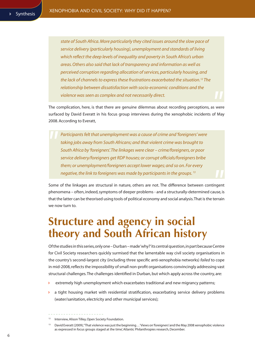*state of South Africa. More particularly they cited issues around the slow pace of service delivery (particularly housing), unemployment and standards of living which reflect the deep levels of inequality and poverty in South Africa's urban areas. Others also said that lack of transparency and information as well as perceived corruption regarding allocation of services, particularly housing, and the lack of channels to express these frustrations exacerbated the situation.12 The relationship between dissatisfaction with socio-economic conditions and the violence was seen as complex and not necessarily direct.*

The complication, here, is that there are genuine dilemmas about recording perceptions, as were surfaced by David Everatt in his focus group interviews during the xenophobic incidents of May 2008. According to Everatt,

*Participants felt that unemployment was a cause of crime and 'foreigners' were taking jobs away from South Africans; and that violent crime was brought to South Africa by 'foreigners'. The linkages were clear – crime/foreigners, or poor service delivery/foreigners get RDP houses; or corrupt officials/foreigners bribe them; or unemployment/foreigners accept lower wages; and so on. For every negative, the link to foreigners was made by participants in the groups. 13*

Some of the linkages are structural in nature, others are not. The difference between contingent phenomena – often, indeed, symptoms of deeper problems - and a structurally-determined cause, is that the latter can be theorised using tools of political economy and social analysis. That is the terrain we now turn to.

## **Structure and agency in social theory and South african history**

Of the studies in this series, only one – Durban – made 'why?' its central question, in part because Centre for Civil Society researchers quickly surmised that the lamentable way civil society organisations in the country's second-largest city (including three specific anti-xenophobia networks) *failed* to cope in mid-2008, reflects the impossibility of small non-profit organisations convincingly addressing vast structural challenges. The challenges identified in Durban, but which apply across the country, are:

- extremely high unemployment which exacerbates traditional and new migrancy patterns;
- $\triangleright$  a tight housing market with residential stratification, exacerbating service delivery problems (water/sanitation, electricity and other municipal services);

<sup>&</sup>lt;sup>12</sup> Interview, Alison Tilley, Open Society Foundation.

<sup>13</sup> David Everatt (2009), ''That violence was just the beginning…' Views on 'foreigners' and the May 2008 xenophobic violence as expressed in focus groups staged at the time', Atlantic Philanthropies research, December.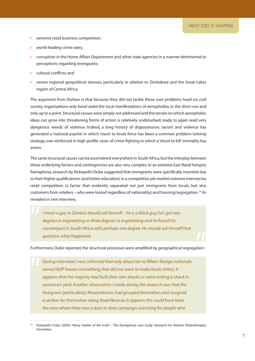- **D** extreme retail business competition;
- Ð world-leading crime rates;
- $\triangleright$  corruption in the Home Affairs Department and other state agencies in a manner detrimental to perceptions regarding immigrants;
- Ð cultural conflicts; and
- Ð severe regional geopolitical stresses, particularly in relation to Zimbabwe and the Great Lakes region of Central Africa.

The argument from Durban is that because they did not tackle these root problems head on, civil society organisations only *band-aided* the local manifestations of xenophobia, in the short-run and only up to a point. Structural causes were simply not addressed and the terrain on which xenophobic ideas can grow into threatening forms of action is relatively undisturbed, ready to again seed very dangerous weeds of violence. Indeed, a long history of dispossession, racism and violence has generated a 'national psyche' in which resort to brute force has been a common problem-'solving' strategy, one reinforced in high-profile cases of crime-fighting in which a 'shoot to kill' mentality has arisen.

The same structural causes can be ascertained everywhere in South Africa, but the interplay between these underlying factors and contingencies are also very complex. In an extreme East Rand hotspot, Ramaphosa, research by Nobayethi Dube suggested that immigrants were specifically resented due to their higher qualifications (and better education) in a competitive job market; extreme internecine retail competition (a factor that evidently separated not just immigrants from locals, but also customers from retailers – who were looted regardless of nationality); and housing/segregation.14 As revealed in one interview,

*I mean a guy in Zambia should ask himself – he is a black guy, he's got two degrees in engineering or three degrees in engineering and he found his counterpart in South Africa with perhaps one degree. He should ask himself that question: what happened.*

Furthermore, Dube reported, the structural processes were amplified by geographical segregation:

*During interviews I was informed that only about ten to fifteen foreign nationals owned RDP houses (something that did not seem to make locals bitter). It appears that the majority had built their own shacks or were renting a shack in someone's yard. Another observation I made during the research was that the foreigners (particularly) Mozambicans had grouped themselves and assigned a section for themselves along Road Reserve. It appears this could have been the area where there was a door to door campaign searching for people who* 

<sup>14</sup> Nobayethi Dube (2009), ''Many shades of the truth' – The Ramaphosa case study', Research for Atlantic Philanthropies, December.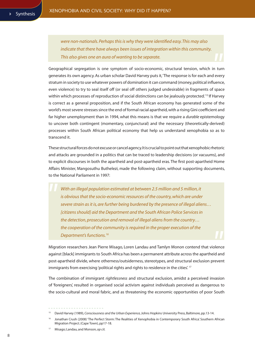*were non-nationals. Perhaps this is why they were identified easy. This may also indicate that there have always been issues of integration within this community. This also gives one an aura of wanting to be separate.*

Geographical segregation is one symptom of socio-economic, structural tension, which in turn generates its own agency. As urban scholar David Harvey puts it, 'The response is for each and every stratum in society to use whatever powers of domination it can command (money, political influence, even violence) to try to seal itself off (or seal off others judged undesirable) in fragments of space within which processes of reproduction of social distinctions can be jealously protected.<sup>'15</sup> If Harvey is correct as a general proposition, and if the South African economy has generated some of the world's most severe stresses since the end of formal racial apartheid, with a rising Gini coefficient and far higher unemployment than in 1994, what this means is that we require a *durable* epistemology to uncover both contingent (momentary, conjunctural) and the necessary (theoretically-derived) processes within South African political economy that help us understand xenophobia so as to transcend it.

These structural forces do not excuse or cancel agency. It is crucial to point out that xenophobic rhetoric and attacks are grounded in a politics that can be traced to leadership decisions (or vacuums), and to explicit discourses in both the apartheid and post-apartheid eras. The first post-apartheid Home Affairs Minister, Mangosuthu Buthelezi, made the following claim, without supporting documents, to the National Parliament in 1997:

*With an illegal population estimated at between 2.5 million and 5 million, it is obvious that the socio-economic resources of the country, which are under severe strain as it is, are further being burdened by the presence of illegal aliens… [citizens should] aid the Department and the South African Police Services in the detection, prosecution and removal of illegal aliens from the country… the cooperation of the community is required in the proper execution of the*  **Department's functions.<sup>16</sup>** 

Migration researchers Jean Pierre Misago, Loren Landau and Tamlyn Monon contend that violence against [black] immigrants to South Africa has been a permanent attribute across the apartheid and post-apartheid divide, where otherness/outsiderness, stereotypes, and structural exclusion prevent immigrants from exercising 'political rights and rights to residence in the cities'.<sup>17</sup>

The combination of immigrant *rightlessness* and structural exclusion, amidst a perceived invasion of 'foreigners', resulted in organised social activism against individuals perceived as dangerous to the socio-cultural and moral fabric, and as threatening the economic opportunities of poor South

<sup>15</sup> David Harvey (1989)*, Consciousness and the Urban Experience,* Johns Hopkins University Press, Baltimore, pp.13-14.

<sup>16</sup> Jonathan Crush (2008) 'The Perfect Storm: The Realities of Xenophobia in Contemporary South Africa'. Southern African Migration Project. (Cape Town), pp17-18.

<sup>17</sup> Misago; Landau, and Monson, *op cit.*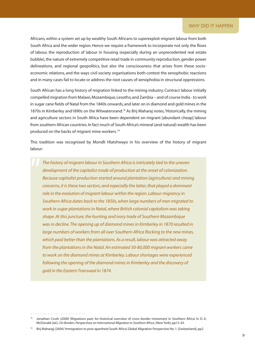Africans, within a system set up by wealthy South Africans to *super*exploit migrant labour from both South Africa and the wider region. Hence we require a framework to incorporate not only the flows of labour, the reproduction of labour in housing (especially during an unprecedented real estate bubble), the nature of extremely competitive retail trade in community reproduction, gender power delineations, and regional geopolitics, but also the consciousness that arises from these socioeconomic relations, and the ways civil society organisations both contest the xenophobic reactions and in many cases fail to locate or address the root causes of xenophobia in structural oppressions.

South African has a long history of migration linked to the mining industry. Contract labour initially compelled migration from Malawi, Mozambique, Lesotho, and Zambia – and of course India - to work in sugar cane fields of Natal from the 1840s onwards, and later on in diamond and gold mines in the 1870s in Kimberley and 1890s on the Witwatersrand.<sup>18</sup> As Brij Maharaj notes, 'Historically, the mining and agriculture sectors in South Africa have been dependent on migrant [abundant cheap] labour from southern African countries. In fact much of South Africa's mineral (and natural) wealth has been produced on the backs of migrant mine workers.'19

This tradition was recognised by Mondli Hlatshwayo in his overview of the history of migrant labour:

*The history of migrant labour in Southern Africa is intricately tied to the uneven development of the capitalist mode of production at the onset of colonization. Because capitalist production started around plantation (agriculture) and mining concerns, it is these two sectors, and especially the latter, that played a dominant role in the evolution of migrant labour within the region. Labour migrancy in Southern Africa dates back to the 1850s, when large numbers of men migrated to work in sugar plantations in Natal, where British colonial capitalism was taking shape. At this juncture, the hunting and ivory trade of Southern Mozambique was in decline. The opening up of diamond mines in Kimberley in 1870 resulted in large numbers of workers from all over Southern Africa flocking to the new mines, which paid better than the plantations. As a result, labour was attracted away from the plantations in the Natal. An estimated 50-80,000 migrant workers came to work on the diamond mines at Kimberley. Labour shortages were experienced following the opening of the diamond mines in Kimberley and the discovery of gold in the Eastern Transvaal in 1874.*

<sup>18</sup> Jonathan Crush (2000) 'Migrations past: An historical overview of cross-border movement in Southern Africa'. In D. A. McDonald (ed.). *On Borders. Perspectives on International Migration in Southern Africa*. (New York), pp12-24.

<sup>19</sup> Brij Maharajj (2004) 'Immigration to post-apartheid South Africa'. Global Migration Perspective No. 1. (Switzerland), pp2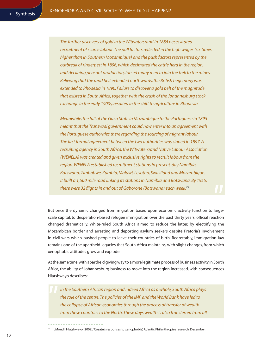*The further discovery of gold in the Witwatersrand in 1886 necessitated recruitment of scarce labour. The pull factors reflected in the high wages (six times higher than in Southern Mozambique) and the push factors represented by the outbreak of rinderpest in 1896, which decimated the cattle herd in the region, and declining peasant production, forced many men to join the trek to the mines. Believing that the rand belt extended northwards, the British hegemony was extended to Rhodesia in 1890. Failure to discover a gold belt of the magnitude that existed in South Africa, together with the crush of the Johannesburg stock exchange in the early 1900s, resulted in the shift to agriculture in Rhodesia.*

*Meanwhile, the fall of the Gaza State in Mozambique to the Portuguese in 1895 meant that the Transvaal government could now enter into an agreement with the Portuguese authorities there regarding the sourcing of migrant labour. The first formal agreement between the two authorities was signed in 1897. A recruiting agency in South Africa, the Witwatersrand Native Labour Association (WENELA) was created and given exclusive rights to recruit labour from the region. WENELA established recruitment stations in present-day Namibia, Botswana, Zimbabwe, Zambia, Malawi, Lesotho, Swaziland and Mozambique. It built a 1,500 mile road linking its stations in Namibia and Botswana. By 1955, there were 32 flights in and out of Gaborone (Botswana) each week.20*

But once the dynamic changed from migration based upon economic activity function to largescale capital, to desperation-based refugee immigration over the past thirty years, official reaction changed dramatically. White-ruled South Africa aimed to reduce the latter, by electrifying the Mozambican border and arresting and deporting asylum seekers despite Pretoria's involvement in civil wars which pushed people to leave their countries of birth. Regrettably, immigration law remains one of the apartheid legacies that South Africa maintains, with slight changes, from which xenophobic attitudes grow and explode.

At the same time, with apartheid giving way to a more legitimate process of business activity in South Africa, the ability of Johannesburg business to move into the region increased, with consequences Hlatshwayo describes:

*In the Southern African region and indeed Africa as a whole, South Africa plays the role of the centre. The policies of the IMF and the World Bank have led to the collapse of African economies through the process of transfer of wealth from these countries to the North. These days wealth is also transferred from all* 

<sup>20</sup> . Mondli Hlatshwayo (2009), 'Cosatu's responses to xenophobia', Atlantic Philanthropies research, December.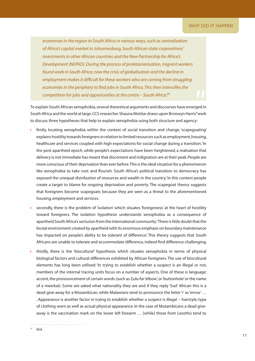*economies in the region to South Africa in various ways, such as centralisation of Africa's capital market in Johannesburg, South African state corporations' investments in other African countries and the New Partnership for Africa's Development (NEPAD). During the process of proletarianisation, migrant workers found work in South Africa; now the crisis of globalisation and the decline in employment makes it difficult for these workers who are coming from struggling economies in the periphery to find jobs in South Africa. This then intensifies the competition for jobs and opportunities at the centre – South Africa.21*

To explain South African xenophobia, several theoretical arguments and discourses have emerged in South Africa and the world at large. CCS researcher Shauna Mottiar draws upon Bronwyn Harris**'** work to discuss three hypotheses that help to explain xenophobia using both structure and agency:

- firstly, locating xenophobia within the context of social transition and change, 'scapegoating' explains hostility towards foreigners in relation to limited resources such as employment, housing, healthcare and services coupled with high expectations for social change during a transition. 'In the post-apartheid epoch, while people's expectations have been heightened, a realisation that delivery is not immediate has meant that discontent and indignation are at their peak. People are more conscious of their deprivation than ever before. This is the ideal situation for a phenomenon like xenophobia to take root and flourish. South Africa's political transition to democracy has exposed the unequal distribution of resources and wealth in the country.'In this context people create a target to blame for ongoing deprivation and poverty. The scapegoat theory suggests that foreigners become scapegoats because they are seen as a threat to the aforementioned housing, employment and services.
- secondly, there is the problem of 'isolation' which situates 'foreignness' at the heart of hostility toward foreigners. The isolation hypothesis understands xenophobia as a consequence of apartheid South Africa's seclusion from the international community. 'There is little doubt that the brutal environment created by apartheid with its enormous emphasis on boundary maintenance has impacted on people's ability to be tolerant of difference'. This theory suggests that South Africans are unable to tolerate and accommodate difference, indeed find difference challenging.
- thirdly, there is the 'biocultural' hypothesis which situates xenophobia in terms of physical biological factors and cultural differences exhibited by African foreigners. The use of biocultural elements has long been utilised: 'In trying to establish whether a suspect is an illegal or not, members of the internal tracing units focus on a number of aspects. One of these is language: accent, the pronouncement of certain words (such as Zulu for 'elbow', or 'buttonhole' or the name of a meerkat). Some are asked what nationality they are and if they reply 'Sud' African this is a dead give-away for a Mozambican, while Malawians tend to pronounce the letter 'r' as 'errow' … . Appearance is another factor in trying to establish whether a suspect is illegal -- hairstyle, type of clothing worn as well as actual physical appearance. In the case of Mozambicans a dead giveaway is the vaccination mark on the lower left forearm … [while] those from Lesotho tend to

 $21$  Ibid.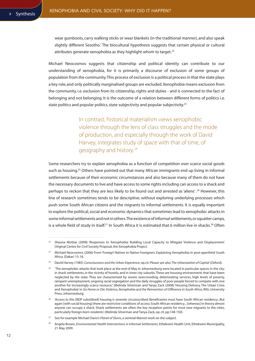wear gumboots, carry walking sticks or wear blankets (in the traditional manner), and also speak slightly different Sesotho.' The biocultural hypothesis suggests that certain physical or cultural attributes generate xenophobia as they highlight whom to target.<sup>22</sup>

Michael Neocosmos suggests that citizenship and political identity can contribute to our understanding of xenophobia, for it is primarily a discourse of exclusion of some groups of population from the community. This process of exclusion is a political process in that the state plays a key role, and only politically marginalised groups are excluded. Xenophobia means exclusion from the community, i.e. exclusion from its citizenship, rights and duties - and is connected to the fact of belonging and not belonging. It is the outcome of a relation between different forms of politics i.e. state politics and popular politics, state subjectivity and popular subjectivity.<sup>23</sup>

> In contrast, historical materialism views xenophobic violence through the lens of class struggles and the mode of production, and especially through the work of David Harvey, integrates study of space with that of time, of geography and history.24

Some researchers try to explain xenophobia as a function of competition over scarce social goods such as housing.<sup>25</sup> Others have pointed out that many African immigrants end up living in informal settlements because of their economic circumstances and also because many of them do not have the necessary documents to live and have access to some rights including can access to a shack and perhaps to reckon that they are less likely to be found out and arrested as 'aliens' .26 However, this line of research sometimes tends to be descriptive, without exploring underlying processes which push some South African citizens and the migrants to informal settlements. It is equally important to explore the political, social and economic dynamics that sometimes lead to xenophobic attacks in some informal settlements and not in others. The existence of informal settlements, or squatter camps, is a whole field of study in itself.<sup>27</sup> In South Africa it is estimated that 6 million live in shacks.<sup>28</sup> Often

<sup>22</sup> Shauna Mottiar (2008) 'Responses to Xenophobia: Building Local Capacity to Mitigate Violence and Displacement'. Original Centre for Civil Society Proposal, the Xenophobia Project.

<sup>&</sup>lt;sup>23</sup> Michael Neocosmos (2006) From 'Foreign' Natives to Native Foreigners. Explaining Xenophobia in post-apartheid South Africa. (Dakar) 15-18.

<sup>24</sup> David Harvey (1985) *Consciousness and the Urban Experience*, op.cit. Please see also *The Urbanization of Capital* (Oxford).

 $25$  The xenophobic attacks that took place at the end of May in Johannesburg were located in particular spaces in the city: in shack settlements, in the vicinity of hostels, and in inner city suburbs. These are housing environments that have been neglected by the state. They are characterized by severe overcrowding, deteriorating services, high levels of poverty, rampant unemployment, ongoing racial segregation and the daily struggles of poor people forced to compete with one another for increasingly scarce resource.' (Melinda Silverman and Tanya Zack (2008) 'Housing Delivery, The Urban Crisis and Xenophobia' in *Go Home or Die: Violence, Xenophobia and the Reinvention of Difference in South Africa*, Wits University Press, Johannesburg.

<sup>&</sup>lt;sup>26</sup> 'Access to this [RDP subsidised] housing is severely circumscribed. Beneficiaries must have South African residency...But again [with social housing] there are restrictive conditions of access: South African residency... [whereas] In theory almost anyone can occupy a shack. Shack settlements are often the key reception points for most new migrants to the cities, particularly foreign-born residents'. (Melinda Silverman and Tanya Zack, op. cit. pp.148-150).

<sup>27</sup> See for example Michael Davis's *Planet of Slums,* a seminal Marxist work on the subject.

<sup>&</sup>lt;sup>28</sup> Angela Brown, *Environmental Health Interventions in Informal Settlements*, Ethekwini Health Unit, Ethekwini Municipality, 21 May 2009.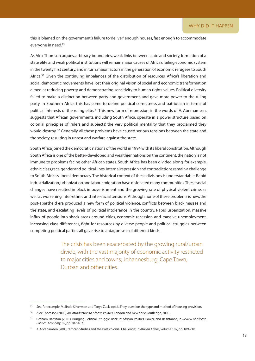this is blamed on the government's failure to 'deliver' enough houses, fast enough to accommodate everyone in need.29

As Alex Thomson argues, arbitrary boundaries, weak links between state and society, formation of a state elite and weak political institutions will remain major causes of Africa's failing economic system in the twenty first century, and in turn, major factors in the generation of economic refugees to South Africa.<sup>30</sup> Given the continuing imbalances of the distribution of resources, Africa's liberation and social democratic movements have lost their original vision of social and economic transformation aimed at reducing poverty and demonstrating sensitivity to human rights values. Political diversity failed to make a distinction between party and government, and gave more power to the ruling party. In Southern Africa this has come to define political correctness and patriotism in terms of political interests of the ruling elite. 31 This new form of repression, in the words of A. Abrahamsen, suggests that African governments, including South Africa, operate in a power structure based on colonial principles of 'rulers and subjects', the very political mentality that they proclaimed they would destroy.<sup>32</sup> Generally, all these problems have caused serious tensions between the state and the society, resulting in unrest and warfare against the state.

South Africa joined the democratic nations of the world in 1994 with its liberal constitution. Although South Africa is one of the better-developed and wealthier nations on the continent, the nation is not immune to problems facing other African states. South Africa has been divided along, for example, ethnic, class, race, gender and political lines. Internal repression and contradictions remain a challenge to South Africa's liberal democracy. The historical context of these divisions is understandable. Rapid industrialization, urbanization and labour migration have dislocated many communities. These social changes have resulted in black impoverishment and the growing rate of physical violent crime, as well as worsening inter-ethnic and inter-racial tensions. Although none of these problems is new, the post-apartheid era produced a new form of political violence, conflicts between black masses and the state, and escalating levels of political intolerance in the country. Rapid urbanization, massive influx of people into shack areas around cities, economic recession and massive unemployment, increasing class differences, fight for resources by diverse people and political struggles between competing political parties all gave rise to antagonisms of different kinds.

> The crisis has been exacerbated by the growing rural/urban divide, with the vast majority of economic activity restricted to major cities and towns; Johannesburg, Cape Town, Durban and other cities.

<sup>&</sup>lt;sup>29</sup> See, for example, Melinda Silverman and Tanya Zack, op.cit. They question the type and method of housing provision.

<sup>30</sup> Alex Thomson (2000) *An Introduction to African Politics*, London and New York: Routledge, 2000.

<sup>31</sup> Graham Harrison (2001) 'Bringing Political Struggle Back in: African Politics, Power, and Resistance', in *Review of African Political Economy*, 89, pp. 387-402.

<sup>32</sup> A. Abrahamsen (2003) 'African Studies and the Post colonial Challenge', in *African Affairs*, volume 102, pp. 189-210.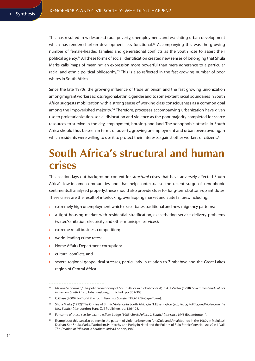This has resulted in widespread rural poverty, unemployment, and escalating urban development which has rendered urban development less functional.<sup>33</sup> Accompanying this was the growing number of female-headed families and generational conflicts as the youth rose to assert their political agency.<sup>34</sup> All these forms of social identification created new senses of belonging that Shula Marks calls 'maps of meaning', an expression more powerful than mere adherence to a particular racial and ethnic political philosophy.<sup>35</sup> This is also reflected in the fast growing number of poor whites in South Africa.

Since the late 1970s, the growing influence of trade unionism and the fast growing unionization among migrant workers across regional, ethnic, gender and, to some extent, racial boundaries in South Africa suggests mobilization with a strong sense of working class consciousness as a common goal among the impoverished majority.<sup>36</sup> Therefore, processes accompanying urbanization have given rise to proletarianization, social dislocation and violence as the poor majority completed for scarce resources to survive in the city, employment, housing, and land. The xenophobic attacks in South Africa should thus be seen in terms of poverty, growing unemployment and urban overcrowding, in which residents were willing to use it to protect their interests against other workers or citizens.<sup>37</sup>

## **South africa's structural and human crises**

This section lays out background context for *structural* crises that have adversely affected South Africa's low-income communities and that help contextualise the recent surge of xenophobic sentiments. If analysed properly, these should also provide clues for long-term, bottom-up antidotes. These crises are the result of interlocking, overlapping market and state failures, including:

- $\triangleright$  extremely high unemployment which exacerbates traditional and new migrancy patterns;
- $\triangleright$  a tight housing market with residential stratification, exacerbating service delivery problems (water/sanitation, electricity and other municipal services);
- **D** extreme retail business competition;
- Ð world-leading crime rates;
- Ð Home Affairs Department corruption;
- Ð cultural conflicts; and
- Ð severe regional geopolitical stresses, particularly in relation to Zimbabwe and the Great Lakes region of Central Africa.

- 35 Shula Marks (1992) 'The Origins of Ethnic Violence in South Africa', in N. Etherington (ed), *Peace, Politics, and Violence in the New South Africa*, London, Hans Zell Publishers, pp. 126-128.
- 36 For some of these see, for example, Tom Lodge (1983) *Black Politics in South Africa since 1945* (Braamfontein).

<sup>33</sup> Maxine Schoeman, 'The political economy of South Africa in global context', in A. J. Venter (1998) *Government and Politics in the new South Africa*, Johannesburg, J. L. Schaik, pp. 302-303.

<sup>34</sup> C. Glase (2000) *Bo-Tsotsi: The Youth Gangs of Soweto, 1935-1976* (Cape Town),

<sup>37</sup> Examples of this can also be seen in the pattern of violence between AmaZulu and AmaMpondo in the 1980s in Malukazi, Durban. See Shula Marks, 'Patriotism, Patriarchy and Purity in Natal and the Politics of Zulu Ethnic Consciousness', in L. Vail, *The Creation of Tribalism in Southern Africa*, London, 1989.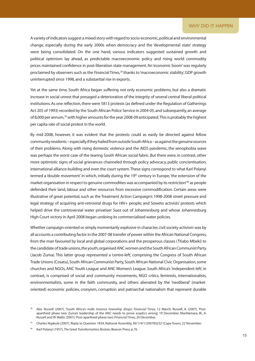### WHY DID IT HAPPFN

A variety of indicators suggest a mixed story with regard to socio-economic, political and environmental change, especially during the early 2000s when democracy and the 'developmental state' strategy were being consolidated. On the one hand, various indicators suggested sustained growth and political optimism lay ahead, as predictable macroeconomic policy and rising world commodity prices maintained confidence in post-liberation state management. An 'economic boom' was regularly proclaimed by observers such as the *Financial Times*,<sup>38</sup> thanks to 'macroeconomic stability', GDP growth uninterrupted since 1998, and a substantial rise in exports.

Yet at the same time, South Africa began suffering not only economic problems, but also a dramatic increase in social unrest that presaged a deterioration of the integrity of several central liberal political institutions. As one reflection, there were 5813 protests (as defined under the Regulation of Gatherings Act 205 of 1993) recorded by the South African Police Service in 2004-05, and subsequently, an average of 8,000 per annum,39with higher amounts for the year 2008-09 anticipated. This is probably the highest per capita rate of social protest in the world.

By mid-2008, however, it was evident that the protests could as easily be directed against fellow community residents – especially if they hailed from outside South Africa – as against the genuine sources of their problems. Along with rising domestic violence and the AIDS pandemic, the xenophobia wave was perhaps the worst case of the tearing South African social fabric. But there were, in contrast, other more optimistic signs of social grievances channeled through policy advocacy, public concientisation, international alliance-building and even the court system. These signs correspond to what Karl Polanyi termed a 'double movement' in which, initially during the 19<sup>th</sup> century in Europe, 'the extension of the market organisation in respect to genuine commodities was accompanied by its restriction'40 as people defended their land, labour and other resources from excessive commodification. Certain areas were illustrative of great potential, such as the Treatment Action Campaign's 1998-2008 street pressure and legal strategy of acquiring anti-retroviral drugs for HIV+ people; and Soweto activists' protests which helped drive the controversial water privatiser Suez out of Johannesburg and whose Johannesburg High Court victory in April 2008 began undoing its commercialised water policies.

Whether campaign-oriented or simply momentarily explosive in character, civil society activism was by all accounts a contributing factor in the 2007-08 transfer of power within the African National Congress, from the man favoured by local and global corporations and the prosperous classes (Thabo Mbeki) to the candidate of trade unions, the youth, organised ANC women and the South African Communist Party (Jacob Zuma). This latter group represented a 'centre-left', comprising the Congress of South African Trade Unions (Cosatu), South African Communist Party, South African National Civic Organisation, some churches and NGOs, ANC Youth League and ANC Women's League. South Africa's 'independent left', in contrast, is comprised of social and community movements, NGO critics, feminists, internationalists, environmentalists, some in the faith community, and others alienated by the 'neoliberal' (marketoriented) economic policies, cronyism, corruption and patriarchal nationalism that represent durable

<sup>38</sup> Alec Russell (2007), 'South Africa's malls trounce township shops', *Financial Times,* 12 March; Russell, A. (2007), 'Postapartheid phase two: Zuma's leadership of the ANC needs to prove sceptics wrong', 19 December; MacNamara, W., A. Russell and W. Wallis (2007), 'Post-apartheid phase two', *Financial Times,* 20 December.

<sup>&</sup>lt;sup>39</sup> Charles Nqakula (2007), 'Reply to Question 1834, National Assembly, 36/1/4/1/200700232' (Cape Town), 22 November.

<sup>40</sup> Karl Polanyi (1957), *The Great Transformation,* Boston, Beacon Press, p.76.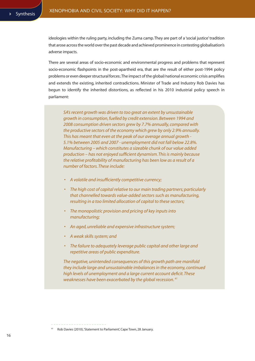ideologies within the ruling party, including the Zuma camp. They are part of a 'social justice' tradition that arose across the world over the past decade and achieved prominence in contesting globalisation's adverse impacts.

There are several areas of socio-economic and environmental progress and problems that represent socio-economic flashpoints in the post-apartheid era, that are the result of either post-1994 policy problems or even deeper structural forces:. The impact of the global/national economic crisis amplifies and extends the existing, inherited contradictions. Minister of Trade and Industry Rob Davies has begun to identify the inherited distortions, as reflected in his 2010 industrial policy speech in parliament:

*SA's recent growth was driven to too great an extent by unsustainable growth in consumption, fuelled by credit extension. Between 1994 and 2008 consumption driven sectors grew by 7.7% annually, compared with the productive sectors of the economy which grew by only 2.9% annually. This has meant that even at the peak of our average annual growth - 5.1% between 2005 and 2007 - unemployment did not fall below 22.8%. Manufacturing – which constitutes a sizeable chunk of our value added production – has not enjoyed sufficient dynamism. This is mainly because the relative profitability of manufacturing has been low as a result of a number of factors. These include:* 

- *• A volatile and insufficiently competitive currency;*
- *• The high cost of capital relative to our main trading partners; particularly that channelled towards value-added sectors such as manufacturing, resulting in a too limited allocation of capital to these sectors;*
- *• The monopolistic provision and pricing of key inputs into manufacturing;*
- *• An aged, unreliable and expensive infrastructure system;*
- *• A weak skills system; and*
- *• The failure to adequately leverage public capital and other large and repetitive areas of public expenditure.*

*The negative, unintended consequences of this growth path are manifold they include large and unsustainable imbalances in the economy, continued high levels of unemployment and a large current account deficit. These weaknesses have been exacerbated by the global recession. 41*

<sup>41</sup> Rob Davies (2010), 'Statement to Parliament', Cape Town, 28 January.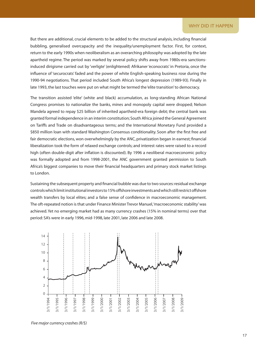But there are additional, crucial elements to be added to the structural analysis, including financial bubbling, generalised overcapacity and the inequality/unemployment factor. First, for context, return to the early 1990s when neoliberalism as an overarching philosophy was adopted by the late apartheid regime. The period was marked by several policy shifts away from 1980s-era sanctionsinduced dirigisme carried out by 'verligte' (enlightened) Afrikaner 'econocrats' in Pretoria, once the influence of 'securocrats' faded and the power of white English-speaking business rose during the 1990-94 negotiations. That period included South Africa's longest depression (1989-93). Finally in late 1993, the last touches were put on what might be termed the 'elite transition' to democracy.

The transition assisted 'elite' (white and black) accumulation, as long-standing African National Congress promises to nationalize the banks, mines and monopoly capital were dropped; Nelson Mandela agreed to repay \$25 billion of inherited apartheid-era foreign debt; the central bank was granted formal independence in an interim constitution; South Africa joined the General Agreement on Tariffs and Trade on disadvantageous terms; and the International Monetary Fund provided a \$850 million loan with standard Washington Consensus conditionality. Soon after the first free and fair democratic elections, won overwhelmingly by the ANC, privatization began in earnest; financial liberalization took the form of relaxed exchange controls; and interest rates were raised to a record high (often double-digit after inflation is discounted). By 1996 a neoliberal macroeconomic policy was formally adopted and from 1998-2001, the ANC government granted permission to South Africa's biggest companies to move their financial headquarters and primary stock market listings to London.

Sustaining the subsequent property and financial bubble was due to two sources: residual exchange controls which limit institutional investors to 15% offshore investments and which still restrict offshore wealth transfers by local elites; and a false sense of confidence in macroeconomic management. The oft-repeated notion is that under Finance Minister Trevor Manuel, 'macroeconomic stability' was achieved. Yet no emerging market had as many currency crashes (15% in nominal terms) over that period: SA's were in early 1996, mid-1998, late 2001, late 2006 and late 2008.



*Five major currency crashes (R/\$)*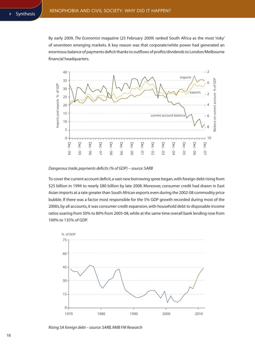By early 2009, *The Economist* magazine (25 February 2009) ranked South Africa as the most 'risky' of seventeen emerging markets. A key reason was that corporate/white power had generated an enormous balance of payments deficit thanks to outflows of profits/dividends to London/Melbourne financial headquarters.



*Dangerous trade, payments deficits (% of GDP) – source: SARB*

To cover the current account deficit, a vast new borrowing spree began, with foreign debt rising from \$25 billion in 1994 to nearly \$80 billion by late 2008. Moreover, consumer credit had drawn in East Asian imports at a rate greater than South African exports even during the 2002-08 commodity price bubble. If there was a factor most responsible for the 5% GDP growth recorded during most of the 2000s, by all accounts, it was consumer credit expansion, with household debt to disposable income ratios soaring from 50% to 80% from 2005-08, while at the same time overall bank lending rose from 100% to 135% of GDP.



*Rising SA foreign debt – source: SARB, RMB FM Research*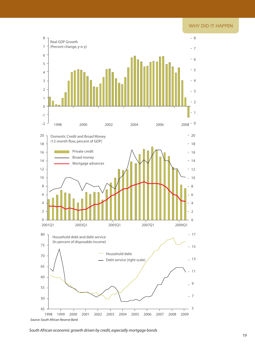### WHY DID IT HAPPEN



*South African economic growth driven by credit, especially mortgage bonds*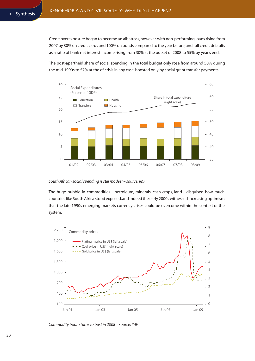Credit overexposure began to become an albatross, however, with non-performing loans rising from 2007 by 80% on credit cards and 100% on bonds compared to the year before, and full credit defaults as a ratio of bank net interest income rising from 30% at the outset of 2008 to 55% by year's end.

The post-apartheid share of social spending in the total budget only rose from around 50% during the mid-1990s to 57% at the of crisis in any case, boosted only by social grant transfer payments.



### *South African social spending is still modest – source: IMF*

The huge bubble in commodities - petroleum, minerals, cash crops, land - disguised how much countries like South Africa stood exposed, and indeed the early 2000s witnessed increasing optimism that the late 1990s emerging markets currency crises could be overcome within the context of the system.



*Commodity boom turns to bust in 2008 – source: IMF*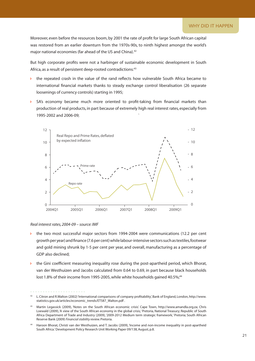Moreover, even before the resources boom, by 2001 the rate of profit for large South African capital was restored from an earlier downturn from the 1970s-90s, to ninth highest amongst the world's major national economies (far ahead of the US and China). 42

But high corporate profits were not a harbinger of sustainable economic development in South Africa, as a result of persistent deep-rooted contradictions:<sup>43</sup>

- $\rightarrow$  the repeated crash in the value of the rand reflects how vulnerable South Africa became to international financial markets thanks to steady exchange control liberalisation (26 separate loosenings of currency controls) starting in 1995;
- $\triangleright$  SA's economy became much more oriented to profit-taking from financial markets than production of real products, in part because of extremely high real interest rates, especially from 1995-2002 and 2006-09; `



### *Real interest rates, 2004-09 – source: IMF*

- Ð the two most successful major sectors from 1994-2004 were communications (12.2 per cent growth per year) and finance (7.6 per cent) while labour-intensive sectors such as textiles, footwear and gold mining shrunk by 1-5 per cent per year, and overall, manufacturing as a percentage of GDP also declined;
- Ð the Gini coefficient measuring inequality rose during the post-apartheid period, which Bhorat, van der Westhuizen and Jacobs calculated from 0.64 to 0.69, in part because black households lost 1.8% of their income from 1995-2005, while white households gained 40.5%;<sup>44</sup>

<sup>42</sup> L. Citron and R.Walton (2002) 'International comparisons of company profitability', Bank of England, London, http://www. statistics.gov.uk/articles/economic\_trends/ET587\_Walton.pdf .

<sup>43</sup> Martin Legassick (2009), 'Notes on the South African economic crisis'. Cape Town, http://www.amandla.org.za; Chris Loewald (2009), 'A view of the South African economy in the global crisis,' Pretoria, National Treasury; Republic of South Africa Department of Trade and Industry (2009), '2009-2012 Medium term strategic framework,' Pretoria; South African Reserve Bank (2009) *Financial stability review.* Pretoria.

<sup>44</sup> Haroon Bhorat, Christi van der Westhuizen, and T. Jacobs (2009), 'Income and non-income inequality in post-apartheid South Africa.' Development Policy Research Unit Working Paper 09/138, August, p.8.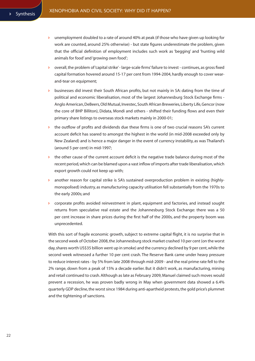- Ð unemployment doubled to a rate of around 40% at peak (if those who have given up looking for work are counted, around 25% otherwise) - but state figures underestimate the problem, given that the official definition of employment includes such work as 'begging' and 'hunting wild animals for food' and 'growing own food';
- Ð overall, the problem of 'capital strike' large-scale firms' failure to invest continues, as gross fixed capital formation hovered around 15-17 per cent from 1994-2004, hardly enough to cover wearand-tear on equipment;
- businesses did invest their South African profits, but not mainly in SA: dating from the time of political and economic liberalisation, most of the largest Johannesburg Stock Exchange firms - Anglo American, DeBeers, Old Mutual, Investec, South African Breweries, Liberty Life, Gencor (now the core of BHP Billiton), Didata, Mondi and others - shifted their funding flows and even their primary share listings to overseas stock markets mainly in 2000-01;
- Ð the outflow of profits and dividends due these firms is one of two crucial reasons SA's current account deficit has soared to amongst the highest in the world (in mid-2008 exceeded only by New Zealand) and is hence a major danger in the event of currency instability, as was Thailand's (around 5 per cent) in mid-1997;
- $\triangleright$  the other cause of the current account deficit is the negative trade balance during most of the recent period, which can be blamed upon a vast inflow of imports after trade liberalisation, which export growth could not keep up with;
- $\triangleright$  another reason for capital strike is SA's sustained overproduction problem in existing (highlymonopolised) industry, as manufacturing capacity utilisation fell substantially from the 1970s to the early 2000s; and
- Ð corporate profits avoided reinvestment in plant, equipment and factories, and instead sought returns from speculative real estate and the Johannesburg Stock Exchange: there was a 50 per cent increase in share prices during the first half of the 2000s, and the property boom was unprecedented.

With this sort of fragile economic growth, subject to extreme capital flight, it is no surprise that in the second week of October 2008, the Johannesburg stock market crashed 10 per cent (on the worst day, shares worth US\$35 billion went up in smoke) and the currency declined by 9 per cent, while the second week witnessed a further 10 per cent crash. The Reserve Bank came under heavy pressure to reduce interest rates - by 5% from late 2008 through mid-2009 - and the real prime rate fell to the 2% range, down from a peak of 15% a decade earlier. But it didn't work, as manufacturing, mining and retail continued to crash. Although as late as February 2009, Manuel claimed such moves would prevent a recession, he was proven badly wrong in May when government data showed a 6.4% quarterly GDP decline, the worst since 1984 during anti-apartheid protests, the gold price's plummet and the tightening of sanctions.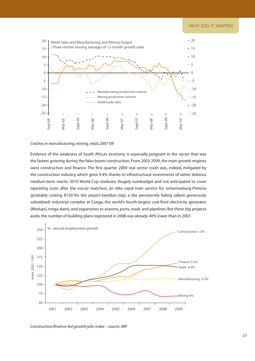

### *Crashes in manufacturing, mining, retail, 2007-09*

Evidence of the weakness of South Africa's economy is especially poignant in the sector that was the fastest growing during the false boom: construction. From 2003-2009, the main growth engines were construction and finance. The first quarter 2009 real sector crash was, indeed, mitigated by the construction industry, which grew 9.4% thanks to infrastructural investments of rather dubious medium-term merits: 2010 World Cup stadiums (hugely overbudget and not anticipated to cover operating costs after the soccer matches), an elite rapid train service for Johannesburg-Pretoria (probably costing R150 for the airport-Sandton trip), a the persistently failing (albeit generously subsidized) industrial complex at Coega, the world's fourth-largest coal-fired electricity generator (Medupi), mega-dams, and expansions to airports, ports, roads and pipelines. But these big projects aside, the number of building plans registered in 2008 was already 40% lower than in 2007.



*Construction/finance-led growth/jobs index – source: IMF*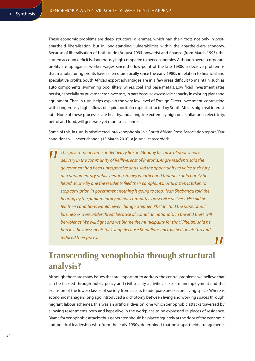These economic problems are deep, structural dilemmas, which had their roots not only in postapartheid liberalisation, but in long-standing vulnerabilities within the apartheid-era economy. Because of liberalisation of both trade (August 1994 onwards) and finance (from March 1995), the current account deficit is dangerously high compared to peer economies. Although overall corporate profits are up against worker wages since the low-point of the late 1980s, a decisive problem is that manufacturing profits have fallen dramatically since the early 1980s in relation to financial and speculative profits. South Africa's export advantages are in a few areas difficult to maintain, such as auto components, swimming pool filters, wines, coal and base metals. Low fixed investment rates persist, especially by private sector investors, in part because excess idle capacity in existing plant and equipment. That, in turn, helps explain the very low level of Foreign Direct Investment, contrasting with dangerously high inflows of liquid portfolio capital attracted by South Africa's high real interest rate. None of these processes are healthy, and alongside extremely high price inflation in electricity, petrol and food, will generate yet more social unrest.

Some of this, in turn, is misdirected into xenophobia. In a South African Press Association report, 'Our conditions will never change' (15 March 2010), a journalist recorded:

*The government came under heavy fire on Monday because of poor service delivery in the community of Refilwe, east of Pretoria. Angry residents said the government had been unresponsive and used the opportunity to voice their fury at a parliamentary public hearing. Heavy weather and thunder could barely be heard as one by one the residents filed their complaints. 'Until a step is taken to stop corruption in government nothing is going to stop,' Ivan Shabangu told the hearing by the parliamentary ad hoc committee on service delivery. He said he*  felt their conditions would never change. Stephen Phelani told the panel small *businesses were under threat because of Somalian nationals. 'In the end there will be violence. We will fight and we blame the municipality for that.' Phelani said he had lost business at his tuck shop because Somalians encroached on his turf and reduced their prices.*  $\boldsymbol{\mathsf{II}}$ 

## **transcending xenophobia through structural analysis?**

Although there are many issues that are important to address, the central problems we believe that can be tackled through public policy and civil society activities alike, are unemployment and the exclusion of the lower classes of society from access to adequate and secure living space. Whereas economic managers long ago introduced a dichotomy between living and working spaces through migrant labour schemes, this was an artificial division, one which xenophobic attacks traversed by allowing resentments born and kept alive in the workplace to be expressed in places of residence. Blame for xenophobic attacks thus generated should be placed squarely at the door of the economic and political leadership who, from the early 1990s, determined that post-apartheid arrangements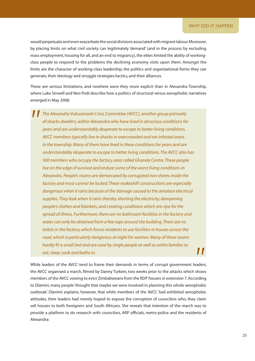would perpetuate and even exacerbate the social divisions associated with migrant labour. Moreover, by placing limits on what civil society can legitimately 'demand' (and in the process by excluding mass employment, housing for all, and an end to migrancy), the elites limited the ability of workingclass people to respond to the problems the declining economy visits upon them. Amongst the limits are the character of working-class leadership, the politics and organizational forms they can generate, their ideology and struggle strategies/tactics, and their alliances.

These are serious limitations, and nowhere were they more explicit than in Alexandra Township, where Luke Sinwell and Neo Podi describe how a politics of structural versus xenophobic narratives emerged in May 2008:

*The Alexandra Vukuzenzele Crisis Committee (AVCC), another group primarily of shacks dwellers, within Alexandra who have lived in atrocious conditions for years and are understandably desperate to escape to better living conditions. AVCC members typically live in shacks in overcrowded and rat-infested areas in the township. Many of them have lived in these conditions for years and are understandably desperate to escape to better living conditions. The AVCC also has 500 members who occupy the factory area called Ghanda Centre. These people live on the edge of survival and endure some of the worst living conditions in Alexandra. People's rooms are demarcated by corrugated iron sheets inside the factory and most cannot be locked. These makeshift constructions are especially dangerous when it rains because of the damage caused to the amateur electrical supplies. They leak when it rains thereby shorting the electricity, dampening people's clothes and blankets, and creating conditions which are ripe for the spread of illness. Furthermore, there are no bathroom facilities in the factory and water can only be obtained from a few taps around the building. There are no toilets in the factory, which forces residents to use facilities in houses across the road, which is particularly dangerous at night for women. Many of these rooms hardly fit a small bed and are used by single people as well as entire families to*  77 *eat, sleep, cook and bathe in.* 

While leaders of the AVCC tend to frame their demands in terms of corrupt government leaders, the AVCC organised a march, filmed by Danny Turkein, two weeks prior to the attacks which shows members of the AVCC vowing to evict Zimbabweans from the RDP houses in extension 7. According to Dlamini, many people 'thought that maybe we were involved in planning this whole xenophobic outbreak'. Dlamini explains, however, that while members of the AVCC had exhibited xenophobic attitudes, their leaders had merely hoped to expose the corruption of councilors who, they claim sell houses to both foreigners and South Africans. She reveals that intention of the march was to provide a platform to do research with councilors, ARP officials, metro-police and the residents of Alexandra: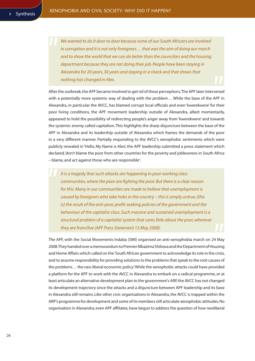*We wanted to do it door to door because some of our South Africans are involved in corruption and it is not only foreigners… that was the aim of doing our march and to show the world that we can do better than the councilors and the housing department because they are not doing their job. People have been staying in Alexandra for 20 years, 30 years and staying in a shack and that shows that nothing has changed in Alex.* 

After the outbreak, the APF became involved to get rid of these perceptions. The APF later intervened with a potentially more systemic way of dealing with the problem… While the base of the APF in Alexandra, in particular the AVCC, has blamed corrupt local officials and even 'kwerekwere' for their poor living conditions, the APF movement leadership outside of Alexandra, albeit momentarily, appeared to hold the possibility of redirecting people's anger away from 'kwerekwere' and towards the systemic enemy called capitalism. This highlights the sharp disjuncture between the base of the APF in Alexandra and its leadership outside of Alexandra which frames the demands of the poor in a very different manner. Partially responding to the AVCC's xenophobic sentiments which were publicly revealed in 'Hello, My Name is Alex', the APF leadership submitted a press statement which declared, 'don't blame the poor from other countries for the poverty and joblessness in South Africa – blame, and act against those who are responsible':

*It is a tragedy that such attacks are happening in poor working class communities, where the poor are fighting the poor. But there is a clear reason for this. Many in our communities are made to believe that unemployment is caused by foreigners who take hobs in the country – this is simply untrue. [this is] the result of the anti-poor, profit-seeking policies of the government and the behaviour of the capitalist class. Such massive and sustained unemployment is a structural problem of a capitalist system that cares little about the poor, wherever they are from/live (APF Press Statement 13 May 2008).*

The APF, with the Social Movements Indaba (SMI) organised an anti-xenophobia march on 24 May 2008. They handed over a memorandum to Premier Mbazima Shilowa and the Department of Housing and Home Affairs which called on the 'South African government to acknowledge its role in the crisis, and to assume responsibility for providing solutions to the problems that speak to the root causes of the problems… the neo-liberal economic policy'. While the xenophobic attacks could have provided a platform for the APF to work with the AVCC in Alexandra to embark on a radical programme, or at least articulate an alternative development plan to the government's ARP, the AVCC has not changed its development trajectory since the attacks and a disjuncture between APF leadership and its base in Alexandra still remains. Like other civic organisations in Alexandra, the AVCC is trapped within the ARP's programme for development and some of its members still articulate xenophobic attitudes. No organisation in Alexandra, even APF affiliates, have begun to address the question of how neoliberal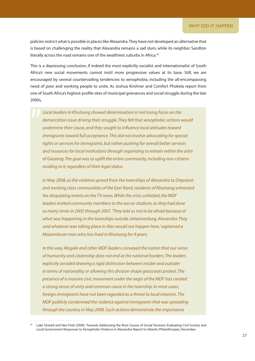policies restrict what is possible in places like Alexandra. They have not developed an alternative that is based on challenging the reality that Alexandra remains a sad slum, while its neighbor Sandton literally across the road remains one of the wealthiest suburbs in Africa.<sup>45</sup>

This is a depressing conclusion, if indeed the most explicitly socialist and internationalist of South Africa's new social movements cannot instil more progressive values at its base. Still, we are encouraged by several countervailing tendencies to xenophobia, including the all-encompassing need of poor and working people to unite. As Joshua Kirshner and Comfort Phokela report from one of South Africa's highest-profile sites of municipal grievances and social struggle during the late 2000s,

*Local leaders in Khutsong showed determination in not losing focus on the demarcation issue driving their struggle. They felt that xenophobic actions would undermine their cause, and they sought to influence local attitudes toward immigrants toward full acceptance. This did not involve advocating for special rights or services for immigrants, but rather pushing for overall better services and resources for local institutions through organizing to remain within the orbit of Gauteng. The goal was to uplift the entire community, including non-citizens residing in it, regardless of their legal status.*

*In May 2008, as the violence spread from the townships of Alexandra to Diepsloot and working class communities of the East Rand, residents of Khutsong witnessed the disquieting events on the TV news. While the crisis unfolded, the MDF leaders invited community members to the soccer stadium, as they had done so many times in 2005 through 2007. 'They told us not to be afraid because of what was happening in the townships outside Johannesburg, Alexandra. They said whatever was taking place in Alex would not happen here,' explained a Mozambican man who has lived in Khutsong for 9 years.*

*In this way, Mogale and other MDF leaders conveyed the notion that our sense of humanity and citizenship does not end at the national borders. The leaders explicitly avoided drawing a rigid distinction between insider and outsider in terms of nationality, or allowing this division shape grassroots protest. The presence of a massive civic movement under the aegis of the MDF has created a strong sense of unity and common cause in the township. In most cases, foreign immigrants have not been regarded as a threat to local interests. The MDF publicly condemned the violence against immigrants that was spreading through the country in May 2008. Such actions demonstrate the importance* 

Luke Sinwell and Neo Podi (2009), 'Towards Addressing the Root Causes of Social Tensions: Evaluating Civil Society and Local Government Responses to Xenophobic Violence in Alexandra', Report to Atlantic Philanthropies, December.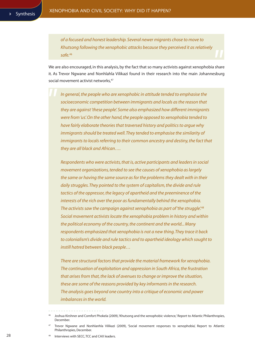*of a focused and honest leadership. Several newer migrants chose to move to Khutsong following the xenophobic attacks because they perceived it as relatively safe.<sup>46</sup>*

We are also encouraged, in this analysis, by the fact that so many activists against xenophobia share it. As Trevor Ngwane and Nonhlahla Vilikazi found in their research into the main Johannesburg social movement activist networks.<sup>47</sup>

*In general, the people who are xenophobic in attitude tended to emphasise the socioeconomic competition between immigrants and locals as the reason that they are against 'these people'. Some also emphasized how different immigrants were from 'us'. On the other hand, the people opposed to xenophobia tended to have fairly elaborate theories that traversed history and politics to argue why immigrants should be treated well. They tended to emphasise the similarity of immigrants to locals referring to their common ancestry and destiny, the fact that they are all black and African….*

*Respondents who were activists, that is, active participants and leaders in social movement organizations, tended to see the causes of xenophobia as largely the same or having the same source as for the problems they dealt with in their daily struggles. They pointed to the system of capitalism, the divide and rule tactics of the oppressor, the legacy of apartheid and the preeminence of the interests of the rich over the poor as fundamentally behind the xenophobia. The activists saw the campaign against xenophobia as part of 'the struggle'.48 Social movement activists locate the xenophobia problem in history and within the political economy of the country, the continent and the world... Many respondents emphasized that xenophobia is not a new thing. They trace it back to colonialism's divide and rule tactics and to apartheid ideology which sought to instill hatred between black people…* 

*There are structural factors that provide the material framework for xenophobia. The continuation of exploitation and oppression in South Africa, the frustration that arises from that, the lack of avenues to change or improve the situation, these are some of the reasons provided by key informants in the research. The analysis goes beyond one country into a critique of economic and power imbalances in the world.* 

Interviews with SECC, TCC and CAX leaders.

Joshua Kirshner and Comfort Phokela (2009), 'Khutsong and the xenophobic violence,' Report to Atlantic Philanthropies, December.

<sup>47</sup> Trevor Ngwane and Nonhlanhla Vilikazi (2009), 'Social movement responses to xenophobia', Report to Atlantic Philanthropies, December.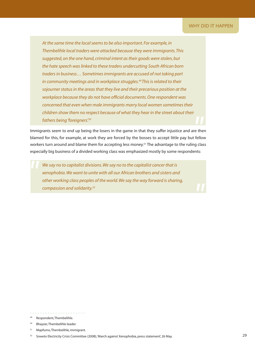*At the same time the local seems to be also important. For example, in Thembelihle local traders were attacked because they were immigrants. This suggested, on the one hand, criminal intent as their goods were stolen, but the hate speech was linked to these traders undercutting South African born traders in business… Sometimes immigrants are accused of not taking part in community meetings and in workplace struggles.49 This is related to their sojourner status in the areas that they live and their precarious position at the workplace because they do not have official documents. One respondent was concerned that even when male immigrants marry local women sometimes their children show them no respect because of what they hear in the street about their fathers being 'foreigners'.50*

Immigrants seem to end up being the losers in the game in that they suffer injustice and are then blamed for this, for example, at work they are forced by the bosses to accept little pay but fellow workers turn around and blame them for accepting less money.<sup>51</sup> The advantage to the ruling class especially big business of a divided working class was emphasized mostly by some respondents:

*We say no to capitalist divisions. We say no to the capitalist cancer that is xenophobia. We want to unite with all our African brothers and sisters and other working class peoples of the world. We say the way forward is sharing, compassion and solidarity.52*

Respondent, Thembelihle.

<sup>50</sup> Bhayzer, Thembelihle leader.

<sup>51</sup> Mapfumo, Thembelihle, immigrant.

Soweto Electricity Crisis Committee (2008), 'March against Xenophobia, press statement', 26 May.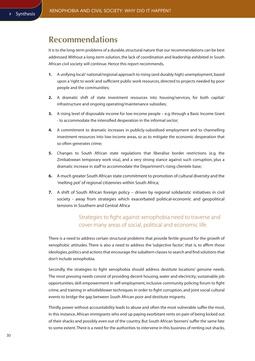### **Recommendations**

It is to the long-term problems of a durable, structural nature that our recommendations can be best addressed. Without a long-term solution, the lack of coordination and leadership exhibited in South African civil society will continue. Hence this report recommends,

- **1.** A unifying local/ national/regional approach to rising (and durably high) unemployment, based upon a 'right to work' and sufficient public work resources, directed to projects needed by poor people and the communities;
- **2.** A dramatic shift of state investment resources into housing/services, for both capital/ infrastructure and ongoing operating/maintenance subsidies;
- **3.** A rising level of disposable income for low-income people e.g. through a Basic Income Grant - to accommodate the intensified desperation in the informal sector;
- **4.** A commitment to dramatic increases in publicly-subsidised employment and to channelling investment resources into low-income areas, so as to mitigate the economic desperation that so often generates crime;
- **5.** Changes to South African state regulations that liberalise border restrictions (e.g. the Zimbabwean temporary work visa), and a very strong stance against such corruption, plus a dramatic increase in staff to accommodate the Department's rising clientele base;
- **6.** A much greater South African state commitment to promotion of cultural diversity and the 'melting pot' of regional citizenries within South Africa;
- **7.** A shift of South African foreign policy driven by regional solidaristic initiatives in civil society - away from strategies which exacerbated political-economic and geopolitical tensions in Southern and Central Africa

### Strategies to fight against xenophobia need to traverse and cover many areas of social, political and economic life.

There is a need to address certain structural problems that provide fertile ground for the growth of xenophobic attitudes. There is also a need to address the 'subjective factor', that is, to affirm those ideologies, politics and actions that encourage the subaltern classes to search and find solutions that don't include xenophobia.

Secondly, the strategies to fight xenophobia should address destitute locations' genuine needs. The most pressing needs consist of providing decent housing, water and electricity; sustainable job opportunities; skill empowerment in self-employment, inclusive community policing forum to fight crime, and training in whistleblower techniques in order to fight corruption, and joint social cultural events to bridge the gap between South African poor and destitute migrants.

Thirdly, power without accountability leads to abuse and often the most vulnerable suffer the most, in this instance, African immigrants who end up paying exorbitant rents on pain of being kicked out of their shacks and possibly even out of the country. But South African 'borners' suffer the same fate to some extent. There is a need for the authorities to intervene in this business of renting out shacks,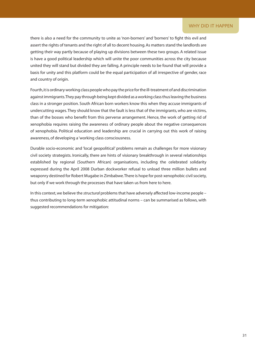### WHY DID IT HAPPEN

there is also a need for the community to unite as 'non-borners' and 'borners' to fight this evil and assert the rights of tenants and the right of all to decent housing. As matters stand the landlords are getting their way partly because of playing up divisions between these two groups. A related issue is have a good political leadership which will unite the poor communities across the city because united they will stand but divided they are falling. A principle needs to be found that will provide a basis for unity and this platform could be the equal participation of all irrespective of gender, race and country of origin.

Fourth, it is ordinary working class people who pay the price for the ill-treatment of and discrimination against immigrants. They pay through being kept divided as a working class thus leaving the business class in a stronger position. South African born workers know this when they accuse immigrants of undercutting wages. They should know that the fault is less that of the immigrants, who are victims, than of the bosses who benefit from this perverse arrangement. Hence, the work of getting rid of xenophobia requires raising the awareness of ordinary people about the negative consequences of xenophobia. Political education and leadership are crucial in carrying out this work of raising awareness, of developing a 'working class consciousness.

Durable socio-economic and 'local geopolitical' problems remain as challenges for more visionary civil society strategists. Ironically, there are hints of visionary breakthrough in several relationships established by regional (Southern African) organisations, including the celebrated solidarity expressed during the April 2008 Durban dockworker refusal to unload three million bullets and weaponry destined for Robert Mugabe in Zimbabwe. There is hope for post-xenophobic civil society, but only if we work through the processes that have taken us from here to here.

In this context, we believe the *structural* problems that have adversely affected low-income people – thus contributing to long-term xenophobic attitudinal norms – can be summarised as follows, with suggested recommendations for mitigation: